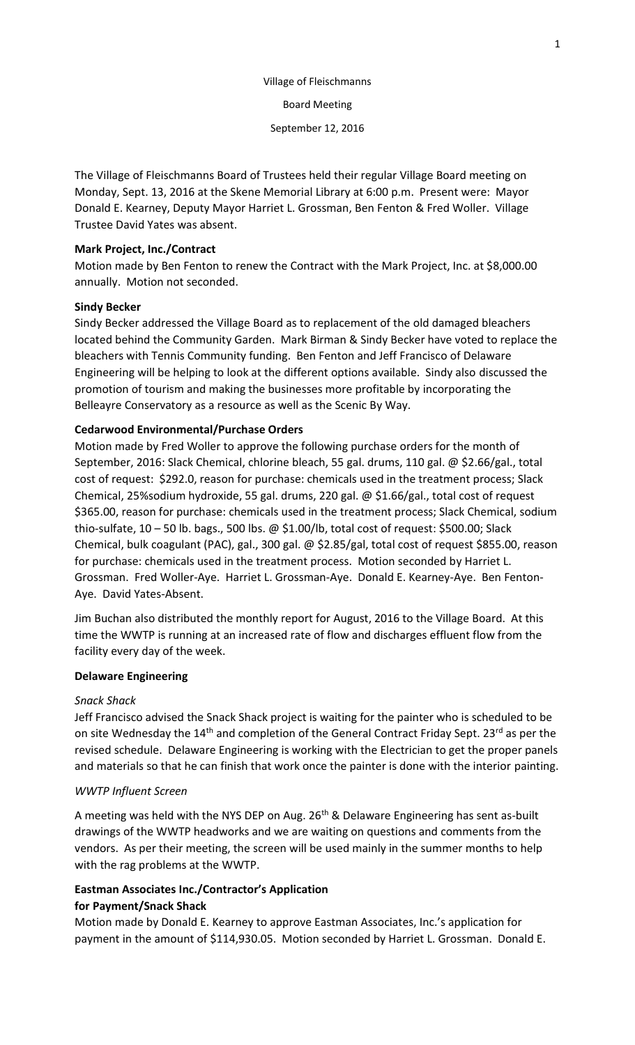# Village of Fleischmanns

Board Meeting

September 12, 2016

The Village of Fleischmanns Board of Trustees held their regular Village Board meeting on Monday, Sept. 13, 2016 at the Skene Memorial Library at 6:00 p.m. Present were: Mayor Donald E. Kearney, Deputy Mayor Harriet L. Grossman, Ben Fenton & Fred Woller. Village Trustee David Yates was absent.

## **Mark Project, Inc./Contract**

Motion made by Ben Fenton to renew the Contract with the Mark Project, Inc. at \$8,000.00 annually. Motion not seconded.

## **Sindy Becker**

Sindy Becker addressed the Village Board as to replacement of the old damaged bleachers located behind the Community Garden. Mark Birman & Sindy Becker have voted to replace the bleachers with Tennis Community funding. Ben Fenton and Jeff Francisco of Delaware Engineering will be helping to look at the different options available. Sindy also discussed the promotion of tourism and making the businesses more profitable by incorporating the Belleayre Conservatory as a resource as well as the Scenic By Way.

## **Cedarwood Environmental/Purchase Orders**

Motion made by Fred Woller to approve the following purchase orders for the month of September, 2016: Slack Chemical, chlorine bleach, 55 gal. drums, 110 gal. @ \$2.66/gal., total cost of request: \$292.0, reason for purchase: chemicals used in the treatment process; Slack Chemical, 25%sodium hydroxide, 55 gal. drums, 220 gal. @ \$1.66/gal., total cost of request \$365.00, reason for purchase: chemicals used in the treatment process; Slack Chemical, sodium thio-sulfate, 10 – 50 lb. bags., 500 lbs. @ \$1.00/lb, total cost of request: \$500.00; Slack Chemical, bulk coagulant (PAC), gal., 300 gal. @ \$2.85/gal, total cost of request \$855.00, reason for purchase: chemicals used in the treatment process. Motion seconded by Harriet L. Grossman. Fred Woller-Aye. Harriet L. Grossman-Aye. Donald E. Kearney-Aye. Ben Fenton-Aye. David Yates-Absent.

Jim Buchan also distributed the monthly report for August, 2016 to the Village Board. At this time the WWTP is running at an increased rate of flow and discharges effluent flow from the facility every day of the week.

## **Delaware Engineering**

## *Snack Shack*

Jeff Francisco advised the Snack Shack project is waiting for the painter who is scheduled to be on site Wednesday the 14<sup>th</sup> and completion of the General Contract Friday Sept. 23<sup>rd</sup> as per the revised schedule. Delaware Engineering is working with the Electrician to get the proper panels and materials so that he can finish that work once the painter is done with the interior painting.

## *WWTP Influent Screen*

A meeting was held with the NYS DEP on Aug. 26<sup>th</sup> & Delaware Engineering has sent as-built drawings of the WWTP headworks and we are waiting on questions and comments from the vendors. As per their meeting, the screen will be used mainly in the summer months to help with the rag problems at the WWTP.

## **Eastman Associates Inc./Contractor's Application for Payment/Snack Shack**

Motion made by Donald E. Kearney to approve Eastman Associates, Inc.'s application for payment in the amount of \$114,930.05. Motion seconded by Harriet L. Grossman. Donald E.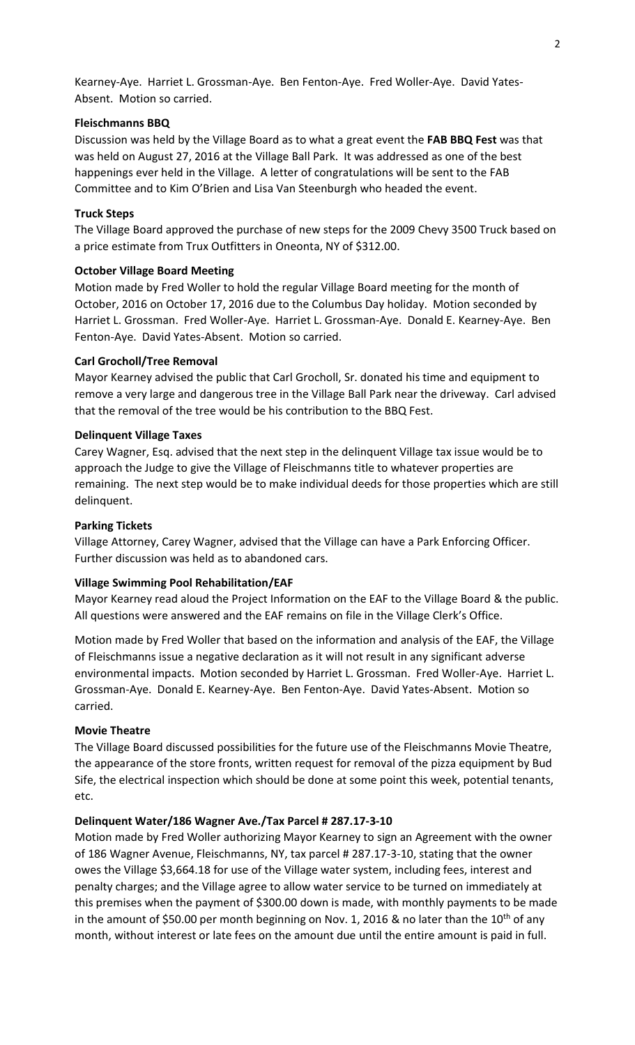Kearney-Aye. Harriet L. Grossman-Aye. Ben Fenton-Aye. Fred Woller-Aye. David Yates-Absent. Motion so carried.

### **Fleischmanns BBQ**

Discussion was held by the Village Board as to what a great event the **FAB BBQ Fest** was that was held on August 27, 2016 at the Village Ball Park. It was addressed as one of the best happenings ever held in the Village. A letter of congratulations will be sent to the FAB Committee and to Kim O'Brien and Lisa Van Steenburgh who headed the event.

#### **Truck Steps**

The Village Board approved the purchase of new steps for the 2009 Chevy 3500 Truck based on a price estimate from Trux Outfitters in Oneonta, NY of \$312.00.

#### **October Village Board Meeting**

Motion made by Fred Woller to hold the regular Village Board meeting for the month of October, 2016 on October 17, 2016 due to the Columbus Day holiday. Motion seconded by Harriet L. Grossman. Fred Woller-Aye. Harriet L. Grossman-Aye. Donald E. Kearney-Aye. Ben Fenton-Aye. David Yates-Absent. Motion so carried.

#### **Carl Grocholl/Tree Removal**

Mayor Kearney advised the public that Carl Grocholl, Sr. donated his time and equipment to remove a very large and dangerous tree in the Village Ball Park near the driveway. Carl advised that the removal of the tree would be his contribution to the BBQ Fest.

#### **Delinquent Village Taxes**

Carey Wagner, Esq. advised that the next step in the delinquent Village tax issue would be to approach the Judge to give the Village of Fleischmanns title to whatever properties are remaining. The next step would be to make individual deeds for those properties which are still delinquent.

#### **Parking Tickets**

Village Attorney, Carey Wagner, advised that the Village can have a Park Enforcing Officer. Further discussion was held as to abandoned cars.

## **Village Swimming Pool Rehabilitation/EAF**

Mayor Kearney read aloud the Project Information on the EAF to the Village Board & the public. All questions were answered and the EAF remains on file in the Village Clerk's Office.

Motion made by Fred Woller that based on the information and analysis of the EAF, the Village of Fleischmanns issue a negative declaration as it will not result in any significant adverse environmental impacts. Motion seconded by Harriet L. Grossman. Fred Woller-Aye. Harriet L. Grossman-Aye. Donald E. Kearney-Aye. Ben Fenton-Aye. David Yates-Absent. Motion so carried.

#### **Movie Theatre**

The Village Board discussed possibilities for the future use of the Fleischmanns Movie Theatre, the appearance of the store fronts, written request for removal of the pizza equipment by Bud Sife, the electrical inspection which should be done at some point this week, potential tenants, etc.

#### **Delinquent Water/186 Wagner Ave./Tax Parcel # 287.17-3-10**

Motion made by Fred Woller authorizing Mayor Kearney to sign an Agreement with the owner of 186 Wagner Avenue, Fleischmanns, NY, tax parcel # 287.17-3-10, stating that the owner owes the Village \$3,664.18 for use of the Village water system, including fees, interest and penalty charges; and the Village agree to allow water service to be turned on immediately at this premises when the payment of \$300.00 down is made, with monthly payments to be made in the amount of \$50.00 per month beginning on Nov. 1, 2016 & no later than the 10<sup>th</sup> of any month, without interest or late fees on the amount due until the entire amount is paid in full.